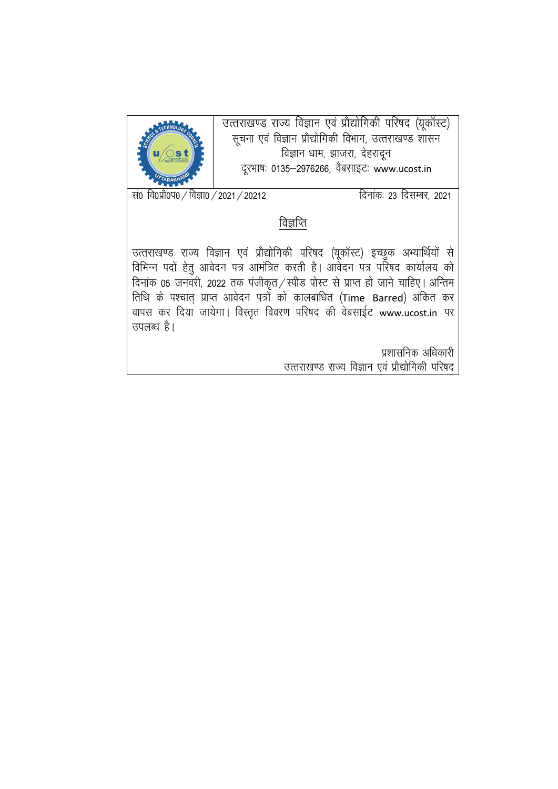

उत्तराखण्ड राज्य विज्ञान एवं प्रौद्योगिकी परिषद (यूकॉस्ट) सूचना एवं विज्ञान प्रौद्योगिकी विभाग, उत्तराखण्ड शासन विज्ञान धाम, झाजरा, देहरादून दूरभाषः 0135–2976266, वैबसाइटः www.ucost.in

 $\frac{1}{100}$  वि0प्रौ0प0 / विज्ञा0 / 2021 / 20212 frace 23 दिसम्बर, 2021

### विज्ञप्ति

उत्तराखण्ड राज्य विज्ञान एवं प्रौद्योगिकी परिषद (यूकॉस्ट) इच्छुक अभ्यार्थियों से लिमिन्न पदों हेतु आवेदन पत्र आमंत्रित करती है। आवेदन पत्र परिषद कार्यालय को दिनांक 05 जनवरी, 2022 तक पंजीकृत / स्पीड पोस्ट से प्राप्त हो जाने चाहिए। अन्तिम तिथि के पश्चात् प्राप्त आवेदन पत्रों को कालबाधित (Time Barred) अंकित कर वापस कर दिया जायेगा। विस्तृत विवरण परिषद की वेबसाईट www.ucost.in पर उपलब्ध है।

> प्रशासनिक अधिकारी उत्तराखण्ड राज्य विज्ञान एवं प्रौद्योगिकी परिषद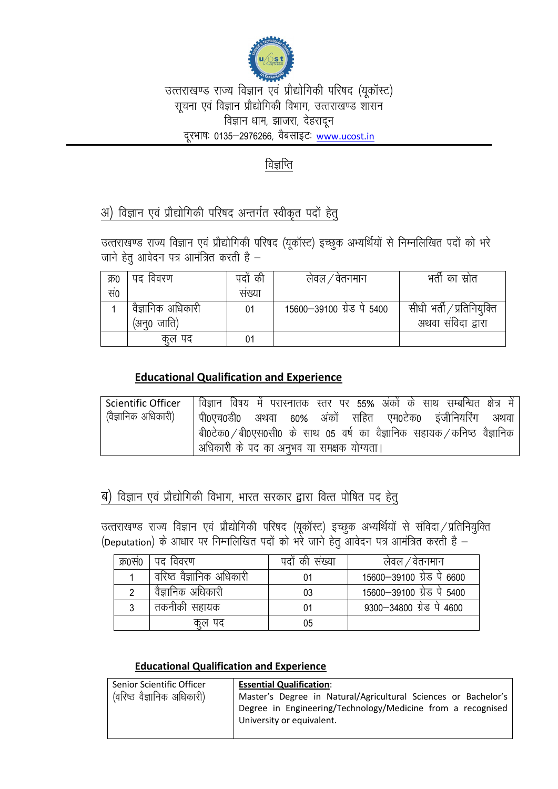

## उत्तराखण्ड राज्य विज्ञान एवं प्रौद्योगिकी परिषद (युकॉस्ट) सूचना एवं विज्ञान प्रौद्योगिकी विभाग, उत्तराखण्ड शासन विज्ञान धाम, झाजरा, देहरादून दूरभाषः 0135–2976266, वैबसाइटः www.ucost.in

# विज्ञप्ति

# अ) विज्ञान एवं प्रौद्योगिकी परिषद अन्तर्गत स्वीकृत पदों हेत्

उत्तराखण्ड राज्य विज्ञान एवं प्रौद्योगिकी परिषद (युकॉस्ट) इच्छुक अभ्यर्थियों से निम्नलिखित पदों को भरे जाने हेतु आवेदन पत्र आमंत्रित करती है -

| क्र0 | पद विवरण          | पदों की | लेवल / वेतनमान            | भर्ती का स्रोत             |
|------|-------------------|---------|---------------------------|----------------------------|
| सं0  |                   | सख्या   |                           |                            |
|      | वैज्ञानिक अधिकारी | 01      | 15600–39100 ग्रेड पे 5400 | सीधी भर्ती / प्रतिनियुक्ति |
|      | (अन्0 जाति)       |         |                           | अथवा संविदा द्वारा         |
|      | कूल पद            | 01      |                           |                            |

### **Educational Qualification and Experience**

| <b>Scientific Officer</b> | विज्ञान विषय में परास्नातक स्तर पर 55% अंकों के साथ सम्बन्धित क्षेत्र में |
|---------------------------|---------------------------------------------------------------------------|
| (वैज्ञानिक अधिकारी)       | । पी0एच0डी0 अथवा 60% अंकों सहित एम0टेक0 इंजीनियरिंग अथवा                  |
|                           | बी0टेक0 / बी0एस0सी0 के साथ 05 वर्ष का वैज्ञानिक सहायक / कनिष्ठ वैज्ञानिक  |
|                           | अधिकारी के पद का अनुभव या समक्षक योग्यता।                                 |

# ब) विज्ञान एवं प्रौद्योगिकी विभाग, भारत सरकार द्वारा वित्त पोषित पद हेतु

उत्तराखण्ड राज्य विज्ञान एवं प्रौद्योगिकी परिषद (यूकॉस्ट) इच्छुक अभ्यर्थियों से संविदा / प्रतिनियुक्ति (Deputation) के आधार पर निम्नलिखित पदों को भरें जाने हेतू आवेदन पत्र आमंत्रित करती है –

| क्र0स0 | पद विवरण                 | पदो की संख्या | लेवल ⁄ वेतनमान            |
|--------|--------------------------|---------------|---------------------------|
|        | वरिष्ठ वैज्ञानिक अधिकारी | 01            | 15600-39100 ग्रेड पे 6600 |
| 2      | वैज्ञानिक अधिकारी        | 03            | 15600-39100 ग्रेड पे 5400 |
| 3      | तकनीकी सहायक             | 01            | 9300-34800 ग्रेड पे 4600  |
|        | कल पद                    | 05            |                           |

#### **Educational Qualification and Experience**

| Senior Scientific Officer  | <b>Essential Qualification:</b>                                                          |  |  |
|----------------------------|------------------------------------------------------------------------------------------|--|--|
| (वरिष्ठ वैज्ञानिक अधिकारी) | Master's Degree in Natural/Agricultural Sciences or Bachelor's                           |  |  |
|                            | Degree in Engineering/Technology/Medicine from a recognised<br>University or equivalent. |  |  |
|                            |                                                                                          |  |  |